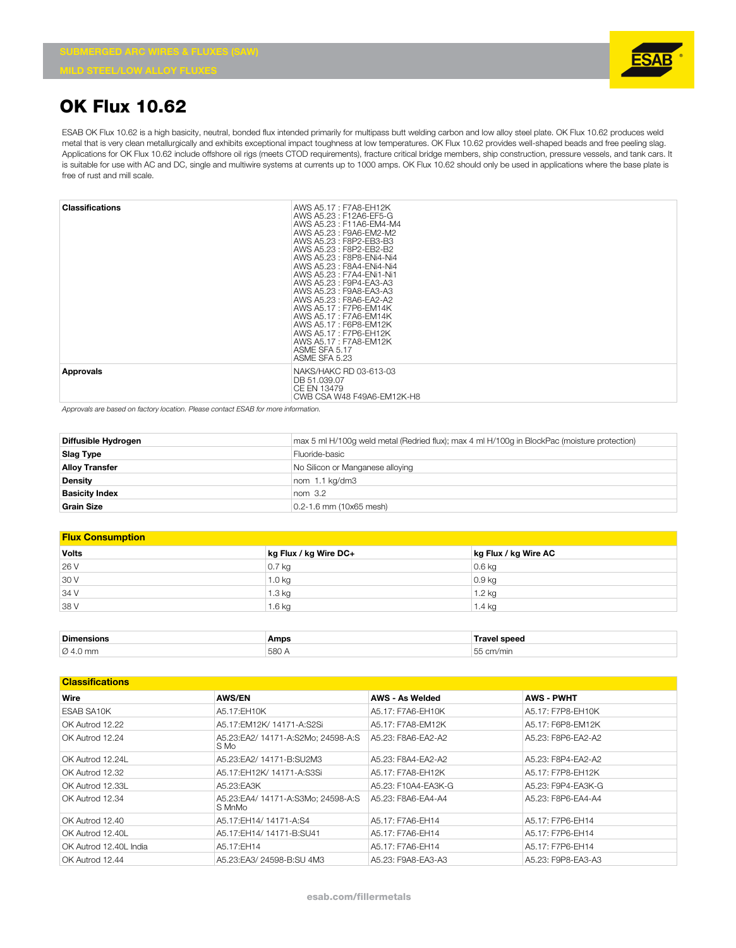

### **OK Flux 10.62**

ESAB OK Flux 10.62 is a high basicity, neutral, bonded flux intended primarily for multipass butt welding carbon and low alloy steel plate. OK Flux 10.62 produces weld metal that is very clean metallurgically and exhibits exceptional impact toughness at low temperatures. OK Flux 10.62 provides well-shaped beads and free peeling slag. Applications for OK Flux 10.62 include offshore oil rigs (meets CTOD requirements), fracture critical bridge members, ship construction, pressure vessels, and tank cars. It is suitable for use with AC and DC, single and multiwire systems at currents up to 1000 amps. OK Flux 10.62 should only be used in applications where the base plate is free of rust and mill scale.

| <b>Classifications</b> | AWS A5.17: F7A8-EH12K<br>AWS A5.23: F12A6-EF5-G<br>AWS A5.23: F11A6-EM4-M4<br>AWS A5.23 : F9A6-EM2-M2<br>AWS A5.23: F8P2-EB3-B3<br>AWS A5.23 : F8P2-FB2-B2<br>AWS A5.23 : F8P8-ENi4-Ni4<br>AWS A5.23 : F8A4-ENi4-Ni4<br>AWS A5.23: F7A4-ENi1-Ni1<br>AWS A5.23 : F9P4-EA3-A3<br>AWS A5.23: F9A8-EA3-A3<br>AWS A5.23 : F8A6-FA2-A2<br>AWS A5.17: F7P6-EM14K<br>AWS A5.17 : F7A6-EM14K<br>AWS A5.17: F6P8-EM12K<br>AWS A5.17: F7P6-EH12K<br>AWS A5.17: F7A8-EM12K<br>ASME SFA 5.17<br>ASME SFA 5.23 |
|------------------------|--------------------------------------------------------------------------------------------------------------------------------------------------------------------------------------------------------------------------------------------------------------------------------------------------------------------------------------------------------------------------------------------------------------------------------------------------------------------------------------------------|
| <b>Approvals</b>       | NAKS/HAKC RD 03-613-03<br>DB 51.039.07<br>CE EN 13479<br>CWB CSA W48 F49A6-EM12K-H8                                                                                                                                                                                                                                                                                                                                                                                                              |

*Approvals are based on factory location. Please contact ESAB for more information.*

| Diffusible Hydrogen   | max 5 ml H/100q weld metal (Redried flux); max 4 ml H/100q in BlockPac (moisture protection) |
|-----------------------|----------------------------------------------------------------------------------------------|
| <b>Slag Type</b>      | Fluoride-basic                                                                               |
| <b>Alloy Transfer</b> | No Silicon or Manganese alloying                                                             |
| <b>Density</b>        | nom 1.1 kg/dm3                                                                               |
| <b>Basicity Index</b> | nom <sub>3.2</sub>                                                                           |
| <b>Grain Size</b>     | 0.2-1.6 mm (10x65 mesh)                                                                      |

#### **Flux Consumption**

| <b>Volts</b> | kg Flux / kg Wire DC+ | kg Flux / kg Wire AC |
|--------------|-----------------------|----------------------|
| 26 V         | $0.7$ kg              | $0.6$ kg             |
| 30 V         | 1.0 <sub>kq</sub>     | 0.9 <sub>kq</sub>    |
| 34 V         | 1.3 kg                | $1.2$ kg             |
| 38 V         | 1.6 <sub>kq</sub>     | 1.4 kg               |

| <b>Dimensions</b>    | Amps  | <b>Travel speed</b> |
|----------------------|-------|---------------------|
| $\varnothing$ 4.0 mm | 580 A | 55<br>cm/min        |

| <b>Classifications</b> |                                              |                        |                    |
|------------------------|----------------------------------------------|------------------------|--------------------|
| Wire                   | <b>AWS/EN</b>                                | <b>AWS - As Welded</b> | <b>AWS - PWHT</b>  |
| ESAB SA10K             | A5.17:EH10K                                  | A5.17: F7A6-FH10K      | A5.17: F7P8-EH10K  |
| OK Autrod 12.22        | A5.17:EM12K/ 14171-A:S2Si                    | A5.17: F7A8-EM12K      | A5.17: F6P8-EM12K  |
| OK Autrod 12.24        | A5.23:EA2/ 14171-A:S2Mo; 24598-A:S<br>S Mo   | A5.23: F8A6-EA2-A2     | A5.23: F8P6-EA2-A2 |
| OK Autrod 12.24L       | A5.23:EA2/ 14171-B:SU2M3                     | A5.23: F8A4-FA2-A2     | A5.23: F8P4-FA2-A2 |
| OK Autrod 12.32        | A5.17:EH12K/ 14171-A:S3Si                    | A5.17: F7A8-EH12K      | A5.17: F7P8-EH12K  |
| OK Autrod 12.33L       | A5.23:EA3K                                   | A5.23: F10A4-EA3K-G    | A5.23: F9P4-EA3K-G |
| OK Autrod 12.34        | A5.23:EA4/ 14171-A:S3Mo: 24598-A:S<br>S MnMo | A5.23: F8A6-FA4-A4     | A5.23: F8P6-FA4-A4 |
| OK Autrod 12.40        | A5.17:EH14/14171-A:S4                        | A5.17: F7A6-EH14       | A5.17: F7P6-EH14   |
| OK Autrod 12.40L       | A5.17:EH14/ 14171-B:SU41                     | A5.17: F7A6-EH14       | A5.17: F7P6-EH14   |
| OK Autrod 12.40L India | A5.17:EH14                                   | A5.17: F7A6-EH14       | A5.17: F7P6-EH14   |
| OK Autrod 12.44        | A5.23:EA3/24598-B:SU 4M3                     | A5.23: F9A8-EA3-A3     | A5.23: F9P8-EA3-A3 |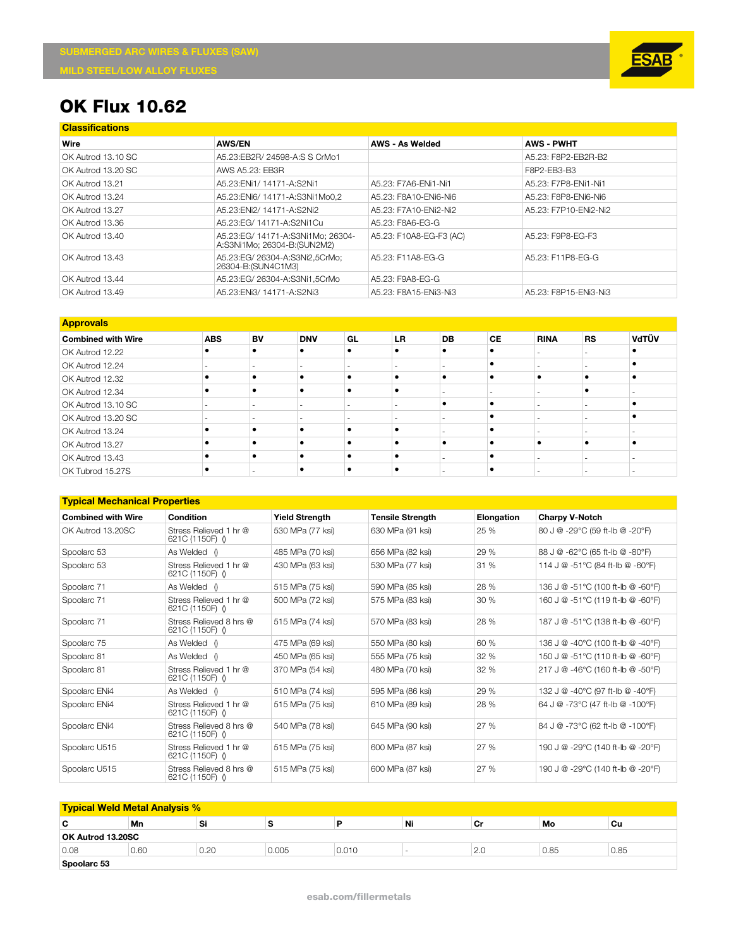

# **OK Flux 10.62**

| <b>Classifications</b> |                                                                  |                         |                       |
|------------------------|------------------------------------------------------------------|-------------------------|-----------------------|
| Wire                   | <b>AWS/EN</b>                                                    | <b>AWS - As Welded</b>  | <b>AWS - PWHT</b>     |
| OK Autrod 13.10 SC     | A5.23:EB2R/ 24598-A:S S CrMo1                                    |                         | A5.23: F8P2-FB2R-B2   |
| OK Autrod 13.20 SC     | AWS A5.23: EB3R                                                  |                         | F8P2-FB3-B3           |
| OK Autrod 13.21        | A5.23: ENi1/ 14171-A: S2Ni1                                      | A5.23: F7A6-ENi1-Ni1    | A5.23: F7P8-ENi1-Ni1  |
| OK Autrod 13.24        | A5.23: ENi6/ 14171-A: S3Ni1Mo0.2                                 | A5.23: F8A10-ENi6-Ni6   | A5.23: F8P8-ENi6-Ni6  |
| OK Autrod 13.27        | A5.23: ENi2/ 14171-A: S2Ni2                                      | A5.23: F7A10-ENi2-Ni2   | A5.23: F7P10-ENi2-Ni2 |
| OK Autrod 13.36        | A5.23:EG/ 14171-A:S2Ni1Cu                                        | A5.23: F8A6-EG-G        |                       |
| OK Autrod 13.40        | A5.23:EG/ 14171-A:S3Ni1Mo: 26304-<br>A:S3Ni1Mo; 26304-B:(SUN2M2) | A5.23: F10A8-EG-F3 (AC) | A5.23: F9P8-EG-F3     |
| OK Autrod 13.43        | A5.23:EG/26304-A:S3Ni2.5CrMo:<br>26304-B: (SUN4C1M3)             | A5.23: F11A8-EG-G       | A5.23: F11P8-EG-G     |
| OK Autrod 13.44        | A5.23:EG/ 26304-A:S3Ni1.5CrMo                                    | A5.23: F9A8-EG-G        |                       |
| OK Autrod 13.49        | A5.23: ENi3/ 14171-A: S2Ni3                                      | A5.23: F8A15-ENi3-Ni3   | A5.23: F8P15-ENi3-Ni3 |

| <b>Approvals</b>          |            |    |                          |    |           |    |           |             |           |       |
|---------------------------|------------|----|--------------------------|----|-----------|----|-----------|-------------|-----------|-------|
| <b>Combined with Wire</b> | <b>ABS</b> | BV | <b>DNV</b>               | GL | <b>LR</b> | DB | <b>CE</b> | <b>RINA</b> | <b>RS</b> | VdTÜV |
| OK Autrod 12.22           |            |    | ٠                        |    |           | ٠  | ٠         |             |           |       |
| OK Autrod 12.24           |            |    | $\overline{\phantom{a}}$ |    |           |    | ٠         |             |           |       |
| OK Autrod 12.32           |            | ٠  | ٠                        |    | ٠         | ٠  | ٠         |             |           |       |
| OK Autrod 12.34           |            | ٠  | $\bullet$                | ٠  | $\bullet$ |    |           |             |           |       |
| OK Autrod 13.10 SC        |            |    |                          |    |           | ٠  | $\bullet$ |             |           |       |
| OK Autrod 13.20 SC        |            |    |                          |    |           |    | ٠         |             |           |       |
| OK Autrod 13.24           |            | ٠  | ٠                        |    |           |    |           |             |           |       |
| OK Autrod 13.27           |            |    | ٠                        |    |           | ٠  | ٠         |             |           |       |
| OK Autrod 13.43           |            |    | ٠                        |    |           |    |           |             |           |       |
| OK Tubrod 15.27S          |            |    |                          |    |           |    |           |             |           |       |

#### **Typical Mechanical Properties**

| <b>Combined with Wire</b> | Condition                                  | <b>Yield Strength</b> | <b>Tensile Strength</b> | Elongation | <b>Charpy V-Notch</b>             |
|---------------------------|--------------------------------------------|-----------------------|-------------------------|------------|-----------------------------------|
| OK Autrod 13.20SC         | Stress Relieved 1 hr @<br>621C (1150F) ()  | 530 MPa (77 ksi)      | 630 MPa (91 ksi)        | 25 %       | 80 J @ -29°C (59 ft-lb @ -20°F)   |
| Spoolarc 53               | As Welded ()                               | 485 MPa (70 ksi)      | 656 MPa (82 ksi)        | 29 %       | 88 J @ -62°C (65 ft-lb @ -80°F)   |
| Spoolarc 53               | Stress Relieved 1 hr @<br>621C (1150F) ()  | 430 MPa (63 ksi)      | 530 MPa (77 ksi)        | 31 %       | 114 J @ -51°C (84 ft-lb @ -60°F)  |
| Spoolarc 71               | As Welded ()                               | 515 MPa (75 ksi)      | 590 MPa (85 ksi)        | 28 %       | 136 J @ -51°C (100 ft-lb @ -60°F) |
| Spoolarc 71               | Stress Relieved 1 hr @<br>621C (1150F) ()  | 500 MPa (72 ksi)      | 575 MPa (83 ksi)        | 30%        | 160 J @ -51°C (119 ft-lb @ -60°F) |
| Spoolarc 71               | Stress Relieved 8 hrs @<br>621C (1150F) () |                       | 570 MPa (83 ksi)        | 28 %       | 187 J @ -51°C (138 ft-lb @ -60°F) |
| Spoolarc 75               | As Welded ()                               | 475 MPa (69 ksi)      | 550 MPa (80 ksi)        | 60 %       | 136 J @ -40°C (100 ft-lb @ -40°F) |
| Spoolarc 81               | As Welded ()                               | 450 MPa (65 ksi)      | 555 MPa (75 ksi)        | 32 %       | 150 J @ -51°C (110 ft-lb @ -60°F) |
| Spoolarc 81               | Stress Relieved 1 hr @<br>621C (1150F) ()  |                       | 480 MPa (70 ksi)        | 32 %       | 217 J @ -46°C (160 ft-lb @ -50°F) |
| Spoolarc ENi4             | As Welded ()                               | 510 MPa (74 ksi)      | 595 MPa (86 ksi)        | 29 %       | 132 J @ -40°C (97 ft-lb @ -40°F)  |
| Spoolarc ENi4             | Stress Relieved 1 hr @<br>621C (1150F) ()  |                       | 610 MPa (89 ksi)        | 28 %       | 64 J @ -73°C (47 ft-lb @ -100°F)  |
| Spoolarc ENi4             | Stress Relieved 8 hrs @<br>621C (1150F) () | 540 MPa (78 ksi)      | 645 MPa (90 ksi)        | 27 %       | 84 J @ -73°C (62 ft-lb @ -100°F)  |
| Spoolarc U515             | Stress Relieved 1 hr @<br>621C (1150F) ()  | 515 MPa (75 ksi)      | 600 MPa (87 ksi)        | 27 %       | 190 J @ -29°C (140 ft-lb @ -20°F) |
| Spoolarc U515             | Stress Relieved 8 hrs @<br>621C (1150F) () | 515 MPa (75 ksi)      | 600 MPa (87 ksi)        | 27 %       | 190 J @ -29°C (140 ft-lb @ -20°F) |

| <b>Typical Weld Metal Analysis %</b> |      |      |       |       |    |     |      |      |  |
|--------------------------------------|------|------|-------|-------|----|-----|------|------|--|
| С                                    | Mn   | Si   |       |       | Ni | Cr  | Mo   | Cu   |  |
| OK Autrod 13.20SC                    |      |      |       |       |    |     |      |      |  |
| 0.08                                 | 0.60 | 0.20 | 0.005 | 0.010 |    | 2.0 | 0.85 | 0.85 |  |
| Spoolarc 53                          |      |      |       |       |    |     |      |      |  |